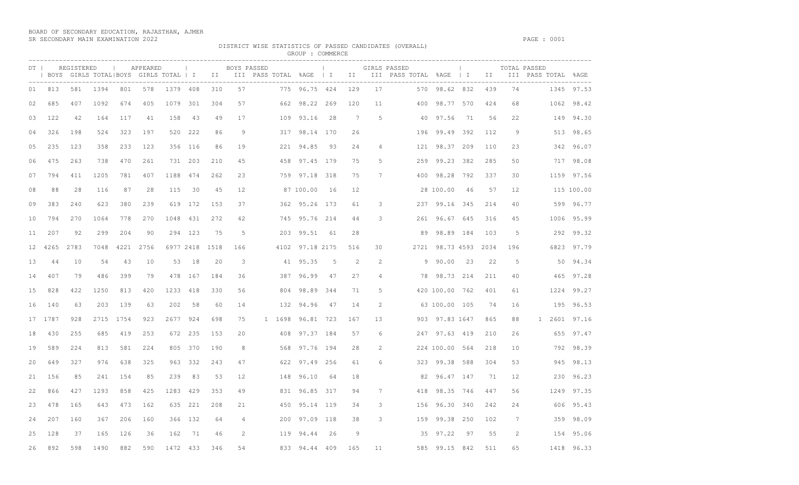BOARD OF SECONDARY EDUCATION, RAJASTHAN, AJMER SR SECONDARY MAIN EXAMINATION 2022 PAGE : 0001

DISTRICT WISE STATISTICS OF PASSED CANDIDATES (OVERALL)

| $DT$ |      | REGISTERED |      |           | APPEARED |          | <b>Contract Contract</b> | GROUP : COMMERCE<br>and the control of the<br>BOYS PASSED<br>GIRLS PASSED |                |  |        |                 |     |     |                |     | $\sim$ 1.00<br>TOTAL PASSED |     |      |     |                                                                                                                      |            |
|------|------|------------|------|-----------|----------|----------|--------------------------|---------------------------------------------------------------------------|----------------|--|--------|-----------------|-----|-----|----------------|-----|-----------------------------|-----|------|-----|----------------------------------------------------------------------------------------------------------------------|------------|
|      |      |            |      |           |          |          |                          | ----------------                                                          |                |  |        |                 |     |     |                |     |                             |     |      |     | BOYS GIRLS TOTAL BOYS GIRLS TOTAL   I III III PASS TOTAL %AGE   I III III PASS TOTAL %AGE   I II III PASS TOTAL %AGE |            |
| 01   | 813  | 581        | 1394 | 801       | 578      | 1379 408 |                          | 310                                                                       | 57             |  |        | 775 96.75 424   |     | 129 | 17             |     | 570 98.62 832               |     | 439  | 74  |                                                                                                                      | 1345 97.53 |
| 02   | 685  | 407        | 1092 | 674       | 405      | 1079     | 301                      | 304                                                                       | 57             |  |        | 662 98.22 269   |     | 120 | 11             | 400 | 98.77                       | 570 | 424  | 68  | 1062                                                                                                                 | 98.42      |
| 03   | 122  | 42         | 164  | 117       | 41       | 158      | -43                      | 49                                                                        | 17             |  |        | 109 93.16       | -28 | 7   | $\overline{5}$ |     | 40 97.56                    | 71  | 56   | 22  |                                                                                                                      | 149 94.30  |
| 04   | 326  | 198        | 524  | 323       | 197      |          | 520 222                  | 86                                                                        | 9              |  |        | 317 98.14 170   |     | 26  |                |     | 196 99.49 392               |     | 112  | 9   |                                                                                                                      | 513 98.65  |
| 05   | 235  | 123        | 358  | 233       | 123      |          | 356 116                  | 86                                                                        | 19             |  |        | 221 94.85       | -93 | 24  | $\overline{4}$ |     | 121 98.37 209               |     | 110  | 23  |                                                                                                                      | 342 96.07  |
| 06   | 475  | 263        | 738  | 470       | 261      |          | 731 203                  | 210                                                                       | 45             |  |        | 458 97.45 179   |     | 75  | 5              |     | 259 99.23 382               |     | 285  | 50  |                                                                                                                      | 717 98.08  |
| 07   | 794  | 411        | 1205 | 781       | 407      | 1188     | 474                      | 262                                                                       | 23             |  |        | 759 97.18 318   |     | 75  | 7              |     | 400 98.28 792               |     | 337  | 30  |                                                                                                                      | 1159 97.56 |
| 08   | 88   | 28         | 116  | 87        | 28       | 115      | 30                       | 45                                                                        | 12             |  |        | 87 100.00       | 16  | 12  |                |     | 28 100.00                   | 46  | 57   | 12  |                                                                                                                      | 115 100.00 |
| 09   | 383  | 240        | 623  | 380       | 239      |          | 619 172                  | 153                                                                       | 37             |  |        | 362 95.26 173   |     | 61  | 3              |     | 237 99.16 345               |     | 214  | 40  |                                                                                                                      | 599 96.77  |
| 10   | 794  | 270        | 1064 | 778       | 270      | 1048     | 431                      | 272                                                                       | 42             |  |        | 745 95.76 214   |     | 44  | 3              |     | 261 96.67 645               |     | 316  | 45  |                                                                                                                      | 1006 95.99 |
| 11   | 207  | 92         | 299  | 204       | 90       | 294      | 123                      | 75                                                                        | -5             |  | 203    | 99.51           | 61  | 28  |                | 89  | 98.89 184                   |     | 103  | 5   | 292                                                                                                                  | 99.32      |
| 12   | 4265 | 2783       | 7048 | 4221 2756 |          |          |                          | 6977 2418 1518                                                            | 166            |  |        | 4102 97.18 2175 |     | 516 | 30             |     | 2721 98.73 4593             |     | 2034 | 196 |                                                                                                                      | 6823 97.79 |
| 13   | 44   | 10         | 54   | 43        | 10       | 53       | 18                       | 20                                                                        | 3              |  |        | 41 95.35        | 5   | 2   | 2              |     | 9 90.00                     | 23  | 22   | 5   |                                                                                                                      | 50 94.34   |
| 14   | 407  | 79         | 486  | 399       | 79       | 478      | 167                      | 184                                                                       | 36             |  | 387    | 96.99           | 47  | 27  | 4              |     | 78 98.73 214                |     | 211  | 40  | 465                                                                                                                  | 97.28      |
| 15   | 828  | 422        | 1250 | 813       | 420      | 1233     | 418                      | 330                                                                       | 56             |  |        | 804 98.89       | 344 | 71  | -5             |     | 420 100.00 762              |     | 401  | 61  | 1224                                                                                                                 | 99.27      |
| 16   | 140  | 63         | 203  | 139       | 63       | 202      | 58                       | 60                                                                        | 14             |  |        | 132 94.96       | 47  | 14  | $\mathcal{L}$  |     | 63 100.00 105               |     | 74   | 16  | 195                                                                                                                  | 96.53      |
| 17   | 1787 | 928        | 2715 | 1754      | 923      | 2677     | 924                      | 698                                                                       | 75             |  | 1 1698 | 96.81 723       |     | 167 | 13             |     | 903 97.83 1647              |     | 865  | 88  | 2601<br>$\mathbf{1}$                                                                                                 | 97.16      |
| 18   | 430  | 255        | 685  | 419       | 253      |          | 672 235                  | 153                                                                       | 20             |  |        | 408 97.37 184   |     | 57  | 6              |     | 247 97.63 419               |     | 210  | 26  |                                                                                                                      | 655 97.47  |
| 19   | 589  | 224        | 813  | 581       | 224      |          | 805 370                  | 190                                                                       | 8              |  |        | 568 97.76 194   |     | 28  | 2              |     | 224 100.00 564              |     | 218  | 10  | 792                                                                                                                  | 98.39      |
| 20   | 649  | 327        | 976  | 638       | 325      |          | 963 332                  | 243                                                                       | 47             |  |        | 622 97.49 256   |     | 61  | 6              |     | 323 99.38 588               |     | 304  | 53  | 945                                                                                                                  | 98.13      |
| 21   | 156  | 85         | 241  | 154       | 85       | 239      | 83                       | 53                                                                        | 12             |  |        | 148 96.10       | -64 | 18  |                |     | 82 96.47 147                |     | 71   | 12  | 230                                                                                                                  | 96.23      |
| 22   | 866  | 427        | 1293 | 858       | 425      | 1283     | 429                      | 353                                                                       | 49             |  |        | 831 96.85 317   |     | 94  | 7              |     | 418 98.35 746               |     | 447  | 56  | 1249                                                                                                                 | 97.35      |
| 23   | 478  | 165        | 643  | 473       | 162      |          | 635 221                  | 208                                                                       | 21             |  |        | 450 95.14 119   |     | 34  | 3              |     | 156 96.30 340               |     | 242  | 24  | 606                                                                                                                  | 95.43      |
| 24   | 207  | 160        | 367  | 206       | 160      |          | 366 132                  | 64                                                                        | $\overline{4}$ |  |        | 200 97.09 118   |     | 38  | 3              |     | 159 99.38 250               |     | 102  | 7   |                                                                                                                      | 359 98.09  |
| 25   | 128  | 37         | 165  | 126       | 36       | 162      | 71                       | 46                                                                        | 2              |  |        | 119 94.44       | 26  | 9   |                |     | 35 97.22                    | 97  | 55   | 2   |                                                                                                                      | 154 95.06  |
| 26   | 892  | 598        | 1490 | 882       | 590      | 1472 433 |                          | 346                                                                       | 54             |  |        | 833 94.44 409   |     | 165 | 11             |     | 585 99.15 842               |     | 511  | 65  |                                                                                                                      | 1418 96.33 |